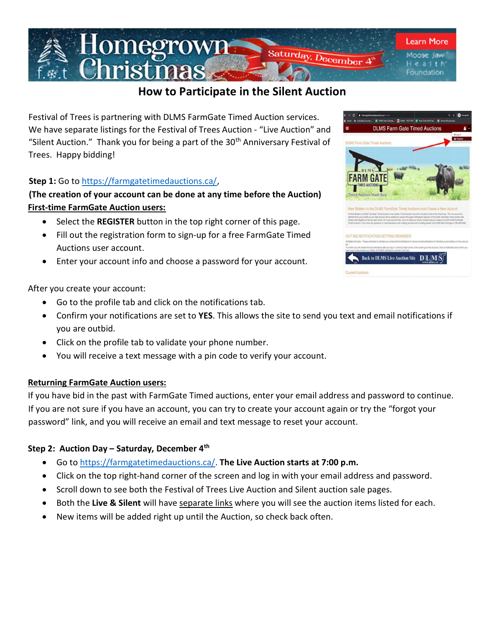

# How to Participate in the Silent Auction

Festival of Trees is partnering with DLMS FarmGate Timed Auction services. We have separate listings for the Festival of Trees Auction - "Live Auction" and "Silent Auction." Thank you for being a part of the  $30<sup>th</sup>$  Anniversary Festival of Trees. Happy bidding!

# Step 1: Go to https://farmgatetimedauctions.ca/,

# (The creation of your account can be done at any time before the Auction) First-time FarmGate Auction users:

- Select the REGISTER button in the top right corner of this page.
- Fill out the registration form to sign-up for a free FarmGate Timed Auctions user account.
- Enter your account info and choose a password for your account.

After you create your account:

- Go to the profile tab and click on the notifications tab.
- Confirm your notifications are set to YES. This allows the site to send you text and email notifications if you are outbid.
- Click on the profile tab to validate your phone number.
- You will receive a text message with a pin code to verify your account.

#### Returning FarmGate Auction users:

If you have bid in the past with FarmGate Timed auctions, enter your email address and password to continue. If you are not sure if you have an account, you can try to create your account again or try the "forgot your password" link, and you will receive an email and text message to reset your account.

#### Step 2: Auction Day – Saturday, December 4<sup>th</sup>

- Go to https://farmgatetimedauctions.ca/. The Live Auction starts at 7:00 p.m.
- Click on the top right-hand corner of the screen and log in with your email address and password.
- Scroll down to see both the Festival of Trees Live Auction and Silent auction sale pages.
- **•** Both the Live & Silent will have separate links where you will see the auction items listed for each.
- New items will be added right up until the Auction, so check back often.

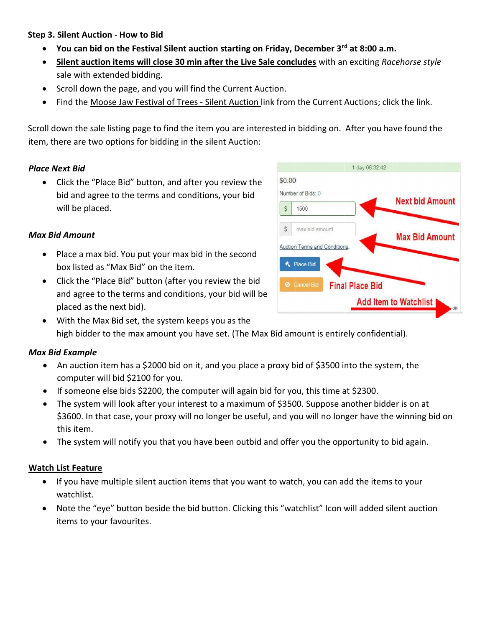#### Step 3. Silent Auction - How to Bid

- You can bid on the Festival Silent auction starting on Friday, December 3rd at 8:00 a.m.
- Silent auction items will close 30 min after the Live Sale concludes with an exciting Racehorse style sale with extended bidding.
- Scroll down the page, and you will find the Current Auction.
- Find the Moose Jaw Festival of Trees Silent Auction link from the Current Auctions; click the link.

Scroll down the sale listing page to find the item you are interested in bidding on. After you have found the item, there are two options for bidding in the silent Auction:

#### Place Next Bid

 Click the "Place Bid" button, and after you review the bid and agree to the terms and conditions, your bid will be placed.

# Max Bid Amount

- Place a max bid. You put your max bid in the second box listed as "Max Bid" on the item.
- Click the "Place Bid" button (after you review the bid and agree to the terms and conditions, your bid will be placed as the next bid).
- With the Max Bid set, the system keeps you as the high bidder to the max amount you have set. (The Max Bid amount is entirely confidential).

#### Max Bid Example

- An auction item has a \$2000 bid on it, and you place a proxy bid of \$3500 into the system, the computer will bid \$2100 for you.
- If someone else bids \$2200, the computer will again bid for you, this time at \$2300.
- The system will look after your interest to a maximum of \$3500. Suppose another bidder is on at \$3600. In that case, your proxy will no longer be useful, and you will no longer have the winning bid on this item.
- The system will notify you that you have been outbid and offer you the opportunity to bid again.

#### Watch List Feature

- If you have multiple silent auction items that you want to watch, you can add the items to your watchlist.
- Note the "eye" button beside the bid button. Clicking this "watchlist" Icon will added silent auction items to your favourites.